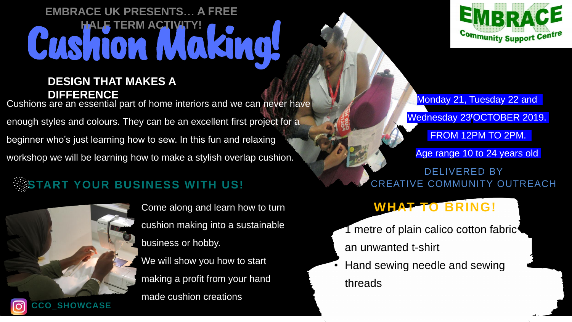

Come along and learn how to turn cushion making into a sustainable business or hobby. We will show you how to start making a profit from your hand made cushion creations



Monday 21, Tuesday 22 and Wednesday 23<sup>r</sup>OCTOBER 2019. FROM 12PM TO 2PM.

Age range 10 to 24 years old

DELIVERED BY CREATIVE COMMUNITY OUTREACH

## WHAT TO BRING!

 $\sim$  metre of plain calico cotton fabric

## Cushion Maki **EMBRACE UK PRESENTS… A FREE HERM ACTIVITY**

### **DESIGN THAT MAKES A DIFFERENCE**

Hand sewing needle and sewing threads

Cushions are an essential part of home interiors and we can never have enough styles and colours. They can be an excellent first project for a beginner who's just learning how to sew. In this fun and relaxing workshop we will be learning how to make a stylish overlap cushion.

## **START YOUR BUSINESS WITH US!**

an unwanted t-shirt